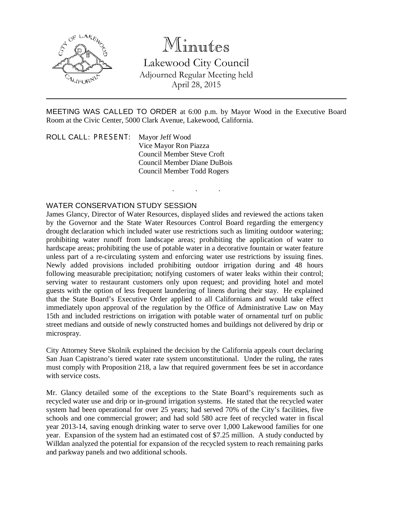

# Minutes

Lakewood City Council Adjourned Regular Meeting held April 28, 2015

MEETING WAS CALLED TO ORDER at 6:00 p.m. by Mayor Wood in the Executive Board Room at the Civic Center, 5000 Clark Avenue, Lakewood, California.

. . .

ROLL CALL: PRESENT: Mayor Jeff Wood Vice Mayor Ron Piazza Council Member Steve Croft Council Member Diane DuBois Council Member Todd Rogers

#### WATER CONSERVATION STUDY SESSION

James Glancy, Director of Water Resources, displayed slides and reviewed the actions taken by the Governor and the State Water Resources Control Board regarding the emergency drought declaration which included water use restrictions such as limiting outdoor watering; prohibiting water runoff from landscape areas; prohibiting the application of water to hardscape areas; prohibiting the use of potable water in a decorative fountain or water feature unless part of a re-circulating system and enforcing water use restrictions by issuing fines. Newly added provisions included prohibiting outdoor irrigation during and 48 hours following measurable precipitation; notifying customers of water leaks within their control; serving water to restaurant customers only upon request; and providing hotel and motel guests with the option of less frequent laundering of linens during their stay. He explained that the State Board's Executive Order applied to all Californians and would take effect immediately upon approval of the regulation by the Office of Administrative Law on May 15th and included restrictions on irrigation with potable water of ornamental turf on public street medians and outside of newly constructed homes and buildings not delivered by drip or microspray.

City Attorney Steve Skolnik explained the decision by the California appeals court declaring San Juan Capistrano's tiered water rate system unconstitutional. Under the ruling, the rates must comply with Proposition 218, a law that required government fees be set in accordance with service costs.

Mr. Glancy detailed some of the exceptions to the State Board's requirements such as recycled water use and drip or in-ground irrigation systems. He stated that the recycled water system had been operational for over 25 years; had served 70% of the City's facilities, five schools and one commercial grower; and had sold 580 acre feet of recycled water in fiscal year 2013-14, saving enough drinking water to serve over 1,000 Lakewood families for one year. Expansion of the system had an estimated cost of \$7.25 million. A study conducted by Willdan analyzed the potential for expansion of the recycled system to reach remaining parks and parkway panels and two additional schools.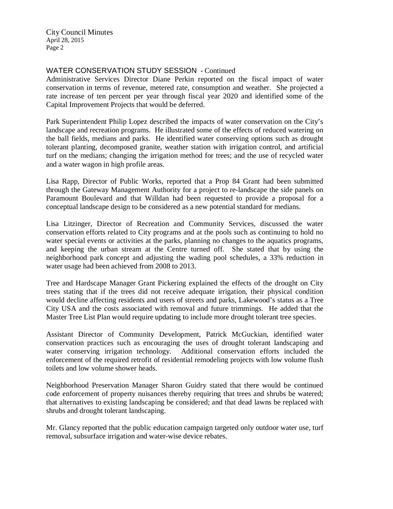City Council Minutes April 28, 2015 Page 2

### WATER CONSERVATION STUDY SESSION - Continued

Administrative Services Director Diane Perkin reported on the fiscal impact of water conservation in terms of revenue, metered rate, consumption and weather. She projected a rate increase of ten percent per year through fiscal year 2020 and identified some of the Capital Improvement Projects that would be deferred.

Park Superintendent Philip Lopez described the impacts of water conservation on the City's landscape and recreation programs. He illustrated some of the effects of reduced watering on the ball fields, medians and parks. He identified water conserving options such as drought tolerant planting, decomposed granite, weather station with irrigation control, and artificial turf on the medians; changing the irrigation method for trees; and the use of recycled water and a water wagon in high profile areas.

Lisa Rapp, Director of Public Works, reported that a Prop 84 Grant had been submitted through the Gateway Management Authority for a project to re-landscape the side panels on Paramount Boulevard and that Willdan had been requested to provide a proposal for a conceptual landscape design to be considered as a new potential standard for medians.

Lisa Litzinger, Director of Recreation and Community Services, discussed the water conservation efforts related to City programs and at the pools such as continuing to hold no water special events or activities at the parks, planning no changes to the aquatics programs, and keeping the urban stream at the Centre turned off. She stated that by using the neighborhood park concept and adjusting the wading pool schedules, a 33% reduction in water usage had been achieved from 2008 to 2013.

Tree and Hardscape Manager Grant Pickering explained the effects of the drought on City trees stating that if the trees did not receive adequate irrigation, their physical condition would decline affecting residents and users of streets and parks, Lakewood's status as a Tree City USA and the costs associated with removal and future trimmings. He added that the Master Tree List Plan would require updating to include more drought tolerant tree species.

Assistant Director of Community Development, Patrick McGuckian, identified water conservation practices such as encouraging the uses of drought tolerant landscaping and water conserving irrigation technology. Additional conservation efforts included the enforcement of the required retrofit of residential remodeling projects with low volume flush toilets and low volume shower heads.

Neighborhood Preservation Manager Sharon Guidry stated that there would be continued code enforcement of property nuisances thereby requiring that trees and shrubs be watered; that alternatives to existing landscaping be considered; and that dead lawns be replaced with shrubs and drought tolerant landscaping.

Mr. Glancy reported that the public education campaign targeted only outdoor water use, turf removal, subsurface irrigation and water-wise device rebates.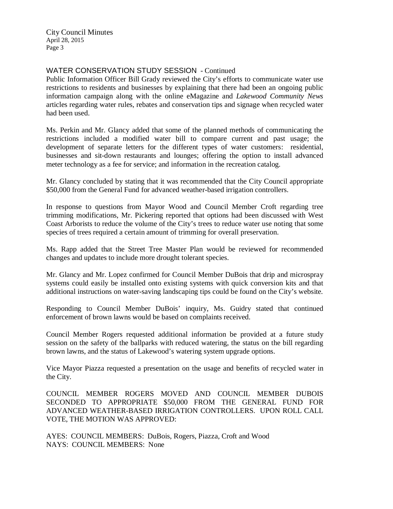City Council Minutes April 28, 2015 Page 3

## WATER CONSERVATION STUDY SESSION - Continued

Public Information Officer Bill Grady reviewed the City's efforts to communicate water use restrictions to residents and businesses by explaining that there had been an ongoing public information campaign along with the online eMagazine and *Lakewood Community News* articles regarding water rules, rebates and conservation tips and signage when recycled water had been used.

Ms. Perkin and Mr. Glancy added that some of the planned methods of communicating the restrictions included a modified water bill to compare current and past usage; the development of separate letters for the different types of water customers: residential, businesses and sit-down restaurants and lounges; offering the option to install advanced meter technology as a fee for service; and information in the recreation catalog.

Mr. Glancy concluded by stating that it was recommended that the City Council appropriate \$50,000 from the General Fund for advanced weather-based irrigation controllers.

In response to questions from Mayor Wood and Council Member Croft regarding tree trimming modifications, Mr. Pickering reported that options had been discussed with West Coast Arborists to reduce the volume of the City's trees to reduce water use noting that some species of trees required a certain amount of trimming for overall preservation.

Ms. Rapp added that the Street Tree Master Plan would be reviewed for recommended changes and updates to include more drought tolerant species.

Mr. Glancy and Mr. Lopez confirmed for Council Member DuBois that drip and microspray systems could easily be installed onto existing systems with quick conversion kits and that additional instructions on water-saving landscaping tips could be found on the City's website.

Responding to Council Member DuBois' inquiry, Ms. Guidry stated that continued enforcement of brown lawns would be based on complaints received.

Council Member Rogers requested additional information be provided at a future study session on the safety of the ballparks with reduced watering, the status on the bill regarding brown lawns, and the status of Lakewood's watering system upgrade options.

Vice Mayor Piazza requested a presentation on the usage and benefits of recycled water in the City.

COUNCIL MEMBER ROGERS MOVED AND COUNCIL MEMBER DUBOIS SECONDED TO APPROPRIATE \$50,000 FROM THE GENERAL FUND FOR ADVANCED WEATHER-BASED IRRIGATION CONTROLLERS. UPON ROLL CALL VOTE, THE MOTION WAS APPROVED:

AYES: COUNCIL MEMBERS: DuBois, Rogers, Piazza, Croft and Wood NAYS: COUNCIL MEMBERS: None